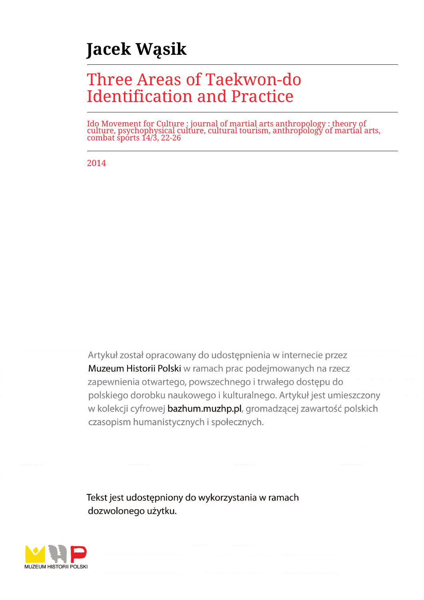# **Jacek Wąsik**

# Three Areas of Taekwon-do Identification and Practice

Ido Movement for Culture : journal of martial arts anthropology : theory of culture, psychophysical culture, cultural tourism, anthropology of martial arts, combat sports 14/3, 22-26

2014

Artykuł został opracowany do udostepnienia w internecie przez Muzeum Historii Polski w ramach prac podejmowanych na rzecz zapewnienia otwartego, powszechnego i trwałego dostępu do polskiego dorobku naukowego i kulturalnego. Artykuł jest umieszczony w kolekcji cyfrowej bazhum.muzhp.pl, gromadzącej zawartość polskich czasopism humanistycznych i społecznych.

Tekst jest udostępniony do wykorzystania w ramach dozwolonego użytku.

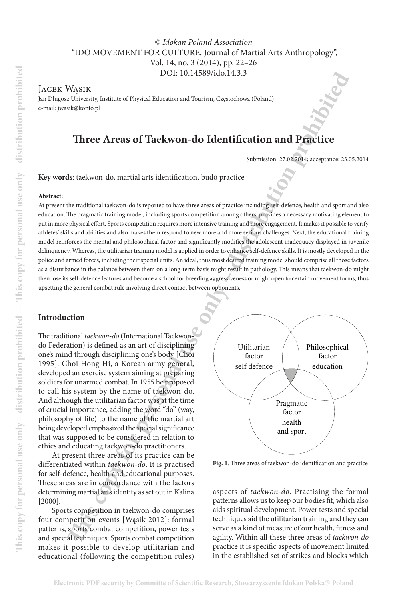# *© Idōkan Poland Association* "IDO MOVEMENT FOR CULTURE. Journal of Martial Arts Anthropology", Vol. 14, no. 3 (2014), pp. 22–26 DOI: 10.14589/ido.14.3.3

Jacek Wąsik

Jan Długosz University, Institute of Physical Education and Tourism, Częstochowa (Poland) e-mail: jwasik@konto.pl

# **Three Areas of Taekwon-do Identification and Practice**

Submission: 27.02.2014; acceptance: 23.05.2014

**Key words**: taekwon-do, martial arts identification, budō practice

#### **Abstract:**

DOE 10.145899/140.143.33<br>
WASIK<br>
WASIK<br>
RUNESIK EUNION DESTRUCTION CONTRIBUTED INTERNATION CONTRIBUTED SURFAINITED INTERNATION CONTRIBUTED SURFAINITED<br>
Three Areas of Tackwoon-do Tackwoon of Dentification, build practic in At present the traditional taekwon-do is reported to have three areas of practice including self-defence, health and sport and also education. The pragmatic training model, including sports competition among others, provides a necessary motivating element to put in more physical effort. Sports competition requires more intensive training and more engagement. It makes it possible to verify athletes' skills and abilities and also makes them respond to new more and more serious challenges. Next, the educational training model reinforces the mental and philosophical factor and significantly modifies the adolescent inadequacy displayed in juvenile delinquency. Whereas, the utilitarian training model is applied in order to enhance self-defence skills. It is mostly developed in the police and armed forces, including their special units. An ideal, thus most desired training model should comprise all those factors as a disturbance in the balance between them on a long-term basis might result in pathology. This means that taekwon-do might then lose its self-defence features and become a school for breeding aggressiveness or might open to certain movement forms, thus upsetting the general combat rule involving direct contact between opponents.

### **Introduction**

The traditional *taekwon-do* (International Taekwondo Federation) is defined as an art of disciplining one's mind through disciplining one's body [Choi 1995]. Choi Hong Hi, a Korean army general, developed an exercise system aiming at preparing soldiers for unarmed combat. In 1955 he proposed to call his system by the name of taekwon-do. And although the utilitarian factor was at the time of crucial importance, adding the word "do" (way, philosophy of life) to the name of the martial art being developed emphasized the special significance that was supposed to be considered in relation to ethics and educating taekwon-do practitioners.

At present three areas of its practice can be differentiated within *taekwon-do*. It is practised for self-defence, health and educational purposes. These areas are in concordance with the factors determining martial arts identity as set out in Kalina [2000].

Sports competition in taekwon-do comprises four competition events [Wąsik 2012]: formal patterns, sports combat competition, power tests and special techniques. Sports combat competition makes it possible to develop utilitarian and educational (following the competition rules)



**Fig. 1**. Three areas of taekwon-do identification and practice

aspects of *taekwon-do*. Practising the formal patterns allows us to keep our bodies fit, which also aids spiritual development. Power tests and special techniques aid the utilitarian training and they can serve as a kind of measure of our health, fitness and agility. Within all these three areas of *taekwon-do* practice it is specific aspects of movement limited in the established set of strikes and blocks which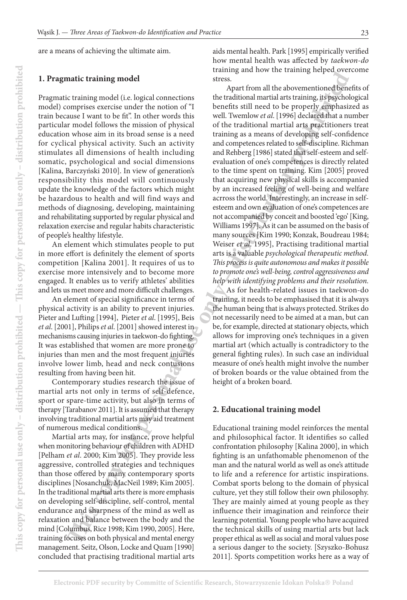are a means of achieving the ultimate aim.

#### **1. Pragmatic training model**

Pragmatic training model (i.e. logical connections model) comprises exercise under the notion of "I train because I want to be fit". In other words this particular model follows the mission of physical education whose aim in its broad sense is a need for cyclical physical activity. Such an activity stimulates all dimensions of health including somatic, psychological and social dimensions [Kalina, Barczyński 2010]. In view of generation's responsibility this model will continuously update the knowledge of the factors which might be hazardous to health and will find ways and methods of diagnosing, developing, maintaining and rehabilitating supported by regular physical and relaxation exercise and regular habits characteristic of people's healthy lifestyle.

An element which stimulates people to put in more effort is definitely the element of sports competition [Kalina 2001]. It requires of us to exercise more intensively and to become more engaged. It enables us to verify athletes' abilities and lets us meet more and more difficult challenges.

An element of special significance in terms of physical activity is an ability to prevent injuries. Pieter and Lufting [1994], Pieter *et al*. [1995], Beis *et al*. [2001], Philips *et al*. [2001] showed interest in mechanisms causing injuries in taekwon-do fighting. It was established that women are more prone to injuries than men and the most frequent injuries involve lower limb, head and neck contusions resulting from having been hit.

Contemporary studies research the issue of martial arts not only in terms of self-defence, sport or spare-time activity, but also in terms of therapy [Tarabanov 2011]. It is assumed that therapy involving traditional martial arts may aid treatment of numerous medical conditions.

Martial arts may, for instance, prove helpful when monitoring behaviour of children with ADHD [Pelham *et al*. 2000; Kim 2005]. They provide less aggressive, controlled strategies and techniques than those offered by many contemporary sports disciplines [Nosanchuk, MacNeil 1989; Kim 2005]. In the traditional martial arts there is more emphasis on developing self-discipline, self-control, mental endurance and sharpness of the mind as well as relaxation and balance between the body and the mind [Columbus, Rice 1998; Kim 1990, 2005]. Here, training focuses on both physical and mental energy management. Seitz, Olson, Locke and Quam [1990] concluded that practising traditional martial arts

aids mental health. Park [1995] empirically verified how mental health was affected by *taekwon-do* training and how the training helped overcome stress.

**This continuo and the control of the control of the control of the control of the control of the control of the control of the control of the control of the control of the control of the control of the control of the cont** Apart from all the abovementioned benefits of the traditional martial arts training, its psychological benefits still need to be properly emphasized as well. Twemlow *et al*. [1996] declared that a number of the traditional martial arts practitioners treat training as a means of developing self-confidence and competences related to self-discipline. Richman and Rehberg [1986] stated that self-esteem and selfevaluation of one's competences is directly related to the time spent on training. Kim [2005] proved that acquiring new physical skills is accompanied by an increased feeling of well-being and welfare acrross the world. Interestingly, an increase in selfesteem and own evaluation of one's competences are not accompanied by conceit and boosted 'ego' [King, Williams 1997]. As it can be assumed on the basis of many sources [Kim 1990; Konzak, Boudreau 1984; Weiser *et al*. 1995], Practising traditional martial arts is a valuable *psychological therapeutic method. This process is quite autonomous and makes it possible to promote one's well-being, control aggressiveness and help with identifying problems and their resolution.*

As for health-related issues in taekwon-do training, it needs to be emphasised that it is always the human being that is always protected. Strikes do not necessarily need to be aimed at a man, but can be, for example, directed at stationary objects, which allows for improving one's techniques in a given martial art (which actually is contradictory to the general fighting rules). In such case an individual measure of one's health might involve the number of broken boards or the value obtained from the height of a broken board.

#### **2. Educational training model**

Educational training model reinforces the mental and philosophical factor. It identifies so called confrontation philosophy [Kalina 2000], in which fighting is an unfathomable phenomenon of the man and the natural world as well as one's attitude to life and a reference for artistic inspirations. Combat sports belong to the domain of physical culture, yet they still follow their own philosophy. They are mainly aimed at young people as they influence their imagination and reinforce their learning potential. Young people who have acquired the technical skills of using martial arts but lack proper ethical as well as social and moral values pose a serious danger to the society. [Szyszko-Bohusz 2011]. Sports competition works here as a way of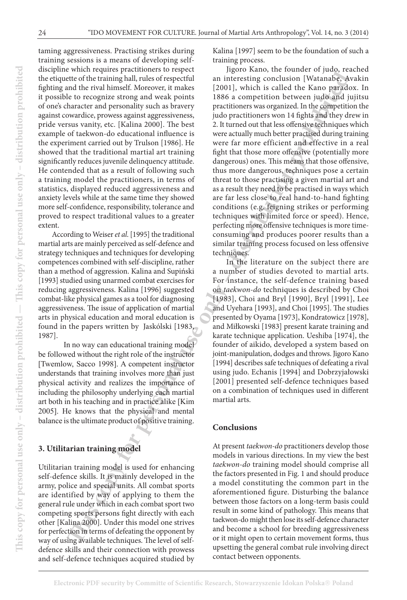taming aggressiveness. Practising strikes during training sessions is a means of developing selfdiscipline which requires practitioners to respect the etiquette of the training hall, rules of respectful fighting and the rival himself. Moreover, it makes it possible to recognize strong and weak points of one's character and personality such as bravery against cowardice, prowess against aggressiveness, pride versus vanity, etc. [Kalina 2000]. The best example of taekwon-do educational influence is the experiment carried out by Trulson [1986]. He showed that the traditional martial art training significantly reduces juvenile delinquency attitude. He contended that as a result of following such a training model the practitioners, in terms of statistics, displayed reduced aggressiveness and anxiety levels while at the same time they showed more self-confidence, responsibility, tolerance and proved to respect traditional values to a greater extent.

According to Weiser *et al*. [1995] the traditional martial arts are mainly perceived as self-defence and strategy techniques and techniques for developing competences combined with self-discipline, rather than a method of aggression. Kalina and Supiński [1993] studied using unarmed combat exercises for reducing aggressiveness. Kalina [1996] suggested combat-like physical games as a tool for diagnosing aggressiveness. The issue of application of martial arts in physical education and moral education is found in the papers written by Jaskólski [1983, 1987].

In no way can educational training model be followed without the right role of the instructor [Twemlow, Sacco 1998]. A competent instructor understands that training involves more than just physical activity and realizes the importance of including the philosophy underlying each martial art both in his teaching and in practice alike [Kim 2005]. He knows that the physical and mental balance is the ultimate product of positive training.

# **3. Utilitarian training model**

Utilitarian training model is used for enhancing self-defence skills. It is mainly developed in the army, police and special units. All combat sports are identified by way of applying to them the general rule under which in each combat sport two competing sports persons fight directly with each other [Kalina 2000]. Under this model one strives for perfection in terms of defeating the opponent by way of using available techniques. The level of selfdefence skills and their connection with prowess and self-defence techniques acquired studied by

Kalina [1997] seem to be the foundation of such a training process.

atter the continuous plattic material and interesting more between the computer of the content of the content of the content of the content of the content of the content of the content of the content of the content of the Jigoro Kano, the founder of judo, reached an interesting conclusion [Watanabe, Avakin [2001], which is called the Kano paradox. In 1886 a competition between judo and jujitsu practitioners was organized. In the competition the judo practitioners won 14 fights and they drew in 2. It turned out that less offensive techniques which were actually much better practised during training were far more efficient and effective in a real fight that those more offensive (potentially more dangerous) ones. This means that those offensive, thus more dangerous, techniques pose a certain threat to those practising a given martial art and as a result they need to be practised in ways which are far less close to real hand-to-hand fighting conditions (e.g. feigning strikes or performing techniques with limited force or speed). Hence, perfecting more offensive techniques is more timeconsuming and produces poorer results than a similar training process focused on less offensive techniques.

In the literature on the subject there are a number of studies devoted to martial arts. For instance, the self-defence training based on *taekwon-do* techniques is described by Choi [1983], Choi and Bryl [1990], Bryl [1991], Lee and Uyehara [1993], and Choi [1995]. The studies presented by Oyama [1973], Kondratowicz [1978], and Miłkowski [1983] present karate training and karate technique application. Ueshiba [1974], the founder of aikido, developed a system based on joint-manipulation, dodges and throws. Jigoro Kano [1994] describes safe techniques of defeating a rival using judo. Echanis [1994] and Dobrzyjałowski [2001] presented self-defence techniques based on a combination of techniques used in different martial arts.

# **Conclusions**

At present *taekwon-do* practitioners develop those models in various directions. In my view the best *taekwon-do* training model should comprise all the factors presented in Fig. 1 and should produce a model constituting the common part in the aforementioned figure. Disturbing the balance between those factors on a long-term basis could result in some kind of pathology. This means that taekwon-do might then lose its self-defence character and become a school for breeding aggressiveness or it might open to certain movement forms, thus upsetting the general combat rule involving direct contact between opponents.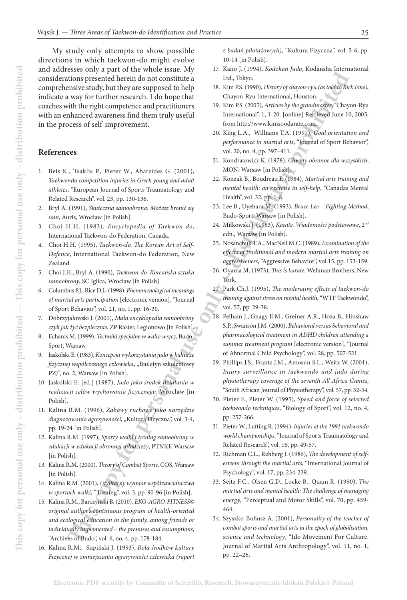**This preservoid between the scottings of the scaling of the scaling of the scaling of the scaling of the scaling of the scaling of the scaling of the scaling of the scaling of the scaling of the scaling of the scaling of** My study only attempts to show possible directions in which taekwon-do might evolve and addresses only a part of the whole issue. My considerations presented herein do not constitute a comprehensive study, but they are supposed to help indicate a way for further research. I do hope that coaches with the right competence and practitioners with an enhanced awareness find them truly useful in the process of self-improvement.

### **References**

- 1. Beis K., Tsaklis P., Pieter W., Abatzides G. (2001), *Taekwondo competition injuries in Greek young and adult athletes*, "European Journal of Sports Traumatology and Related Research", vol. 23, pp. 130-136.
- 2. Bryl A. (1991), *Skuteczna samoobrona: Możesz bronić się sam*, Auris, Wrocław [in Polish].
- 3. Choi H.H. (1983), *Encyclopedia of Taekwon-do*, International Taekwon-do Federation, Canada.
- 4. Choi H.H. (1995), *Taekwon-do. The Korean Art of Self-Defence*, International Taekwon-do Federation, New Zealand.
- 5. Choi J.H., Bryl A. (1990), *Taekwon-do. Koreańska sztuka samoobrony*, SC Iglica, Wrocław [in Polish].
- 6. Columbus P.J., Rice D.L. (1998), *Phenomenological meanings of martial arts participation* [electronic version], "Journal of Sport Behavior", vol. 21, no. 1, pp. 16-30.
- 7. Dobrzyjałowski J. (2001), *Mała encyklopedia samoobrony czyli jak żyć bezpiecznie*, ZP Raster, Legionowo [in Polish].
- 8. Echanis M. (1999), *Techniki specjalne w walce wręcz*, Budo-Sport, Warsaw.
- 9. Jaskólski E. (1983), *Koncepcja wykorzystania judo w kulturze fizycznej współczesnego człowieka*, "Biuletyn szkoleniowy PZJ", no. 2, Warsaw [in Polish].
- 10. Jaskólski E. [ed.] (1987), *Judo jako środek działania w realizacji celów wychowania fizycznego*, Wrocław [in Polish].
- 11. Kalina R.M. (1996), *Zabawy ruchowe jako narzędzie diagnozowania agresywności*, "Kultura Fizyczna", vol. 3-4, pp. 19-24 [in Polish].
- 12. Kalina R.M. (1997), *Sporty walki i trening samoobrony w edukacji w edukacji obronnej młodzieży*, PTNKF, Warsaw [in Polish].
- 13. Kalina R.M. (2000), *Theory of Combat Sports*, COS, Warsaw [in Polish].
- 14. Kalina R.M. (2001), *Utylitarny wymiar współzawodnictwa w sportach walki*, "Trening", vol. 3, pp. 90-96 [in Polish].
- 15. Kalina R.M., Barczyński B. (2010), *EKO-AGRO-FITNESS© original author's continuous program of health-oriented and ecological education in the family, among friends or individually implemented – the premises and assumptions*, "Archives of Budo", vol. 6, no. 4, pp. 178-184.
- 16. Kalina R.M., Supiński J. (1993), *Rola środków kultury Fizycznej w zmniejszaniu agresywności człowieka (raport*

*z badań pilotażowych)*, "Kultura Fizyczna", vol. 5-6, pp. 10-14 [in Polish].

- 17. Kano J. (1994), *Kodokan Judo*, Kodansha International Ltd., Tokyo.
- 18. Kim P.S. (1990), *History of chayon-ryu (as told to Rick Fine)*, Chayon-Ryu International, Houston.
- 19. Kim P.S. (2005), *Articles by the grandmaster*, "Chayon-Ryu International", 1, 1-20. [online] Retrieved June 10, 2005, from http://www.kimsoodarate.com.
- 20. King L.A., Williams T.A. (1997), *Goal orientation and performance in martial arts*, "Journal of Sport Behavior", vol. 20, no. 4, pp. 397–411.
- 21. Kondratowicz K. (1978), *Chwyty obronne dla wszystkich*, MON, Warsaw [in Polish].
- 22. Konzak B., Boudreau F. (1984), *Martial arts training and mental health: an exercise in self-help*, "Canadas Mental Health", vol. 32, pp. 1-8.
- 23. Lee B., Uyehara M. (1993), *Bruce Lee Fighting Method*, Budo-Sport, Warsaw [in Polish].
- 24. Miłkowski J. (1983), *Karate. Wiadomości podstawowe*, 2nd edn., Warsaw [in Polish].
- 25. Nosanchuk T.A., MacNeil M.C. (1989), *Examination of the effects of traditional and modern martial arts training on aggressiveness*, "Aggressive Behavior", vol.15, pp. 153-159.
- 26. Oyama M. (1973), *This is karate*, Wehman Brothers, New York.
- 27. Park Ch.J. (1995), *The moderating effects of taekwon-do training against stress on mental health*, "WTF Taekwondo", vol. 57, pp. 29-38.
- 28. Pelham J., Gnagy E.M., Greiner A.R., Hoza B., Hinshaw S.P., Swanson J.M. (2000), *Behavioral versus behavioral and pharmacological treatment in ADHD children attending a summer treatment program* [electronic version], "Journal of Abnormal Child Psychology", vol. 28, pp. 507-521.
- 29. Phillips J.S., Frantz J.M., Amosun S.L., Weitz W. (2001), *Injury surveillance in taekwondo and judo during physiotherapy coverage of the seventh All Africa Games*, "South African Journal of Physiotherapy", vol. 57, pp. 32-34.
- 30. Pieter F., Pieter W. (1995), *Speed and force of selected taekwondo techniques*, "Biology of Sport", vol. 12, no. 4, pp. 257-266.
- 31. Pieter W., Lufting R. (1994), *Injuries at the 1991 taekwondo world championships*, "Journal of Sports Traumatology and Related Research", vol. 16, pp. 49-57.
- 32. Richman C.L., Rehberg J. (1986), *The development of selfesteem through the martial arts*, "International Journal of Psychology", vol. 17, pp. 234-239.
- 33. Seitz F.C., Olsen G.D., Locke B., Quam R. (1990), *The martial arts and mental health: The challenge of managing energy*, "Perceptual and Motor Skills", vol. 70, pp. 459- 464.
- 34. Szyszko-Bohusz A. (2001), *Personality of the teacher of combat sports and martial arts in the epoch of globalisation, science and technology*, "Ido Movement For Culture. Journal of Martial Arts Anthropology", vol. 11, no. 1, pp. 22–26.